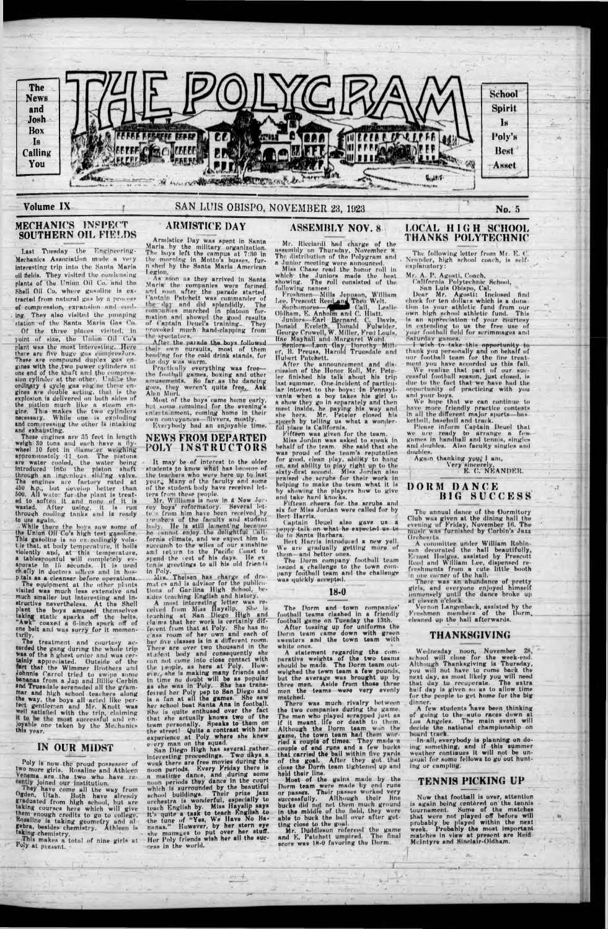Last Tuesday the Engipeering-Mechanics Association mude a very interesting trip into the Santa Marin oil fields. They visited the condensing plants of the Union Oil Co. and the Shell Oil Co. where gasoline is extracted from natural gas hv a process of compression, expansion and cooling. They also visited the .pumping station of the Santa Maria Gas Co.

#### **MECHANICS INSPECT SOUTHERN OIL FIELDS**

Of the **three** places visited, in joint of size, the Union Oil Co's plant was the most Interesting. Here there are five huge gas compressors. These are compound duplex gus enginea with the .two power cylinders at one end of the shuft and the compression cylinder at the other. Unlike the ordinary 4 cycle gas ehgine these engines are double ucting. that is the explosion ia delivered on both aides of the pistion much like a steam engine. This makes the two 'cylinders necessary. While one is exploding and compressing the other is intuking and exhausting.

These engines are 35 feet in length weigh 30 tons and each have a flywheel 10 feet in diameter weighing approxomately 11 ton. The pistons are water cooled, the water being introduced into the piston shaft through an ingenious sliJng valve. The engines are factory rated at 450 h.p., hut develop better than 500. All water for the plant is treated to soften it and none of it is wasted. After using, it is run through cooling tanks ami ia ready to use again.

While there the hoys saw some of the Union Oil Co's high test gasoline. This gasoline is so exceedingly volat le that, at body temperature, It bolls violently and, at this temperature, a tahlespoonful will completely ev-aporate in lf> seconds. It ia used ch efly in doctors oilices and In hosp.tala as a cleanser before operations.

The equipment at the other plants visited was much less extensive and much smaller but Interesting and instructive nevertheless. At the Shell plant the boys amused themselves taking static sparks off the belts. "Awk" coaxed a 0-inch spark off of one belt and was sorry for it momentarily.

treatment and courtesy accorded the gang during the whole trip Was of the n ghest order and was certainly appreciated. Outside of the **fact that the Wimmer Brothers and** Johnnie Carrol tried to swipe some bananas from a Jup and Billie Corbin and Truesdale serenaded all the grammar and high school teachers ulong the way, the boys ull acted like pertect gentlemen and Mr. Knott was well satisfied with the trip, claiming it to be the most successful and en-<br>joyable one taken by the Mechanics<br>this year.

Poly is now the proud possessor of two more girls, Rosaline and Athlcen Venema are the two who have re-Joined our institution.

They have come all the way from Ogden, Utah, Roth have already graduated from high school, but are taking courses here which will give them enough credits to go to college, Kosallne is taking geometry and nfgebra, besides chemistry. Athleen is ♦"king chemistry.

Practically everything was free the football games, boxing and other amusements. So far as the dancing goes, they weren't quite free. Ask Alen Mori.

Mr. Williams is now in a New Jorrey boys' reformatory. Several lette from him have been received by i -embers of the faculty and student body. He is still lament'ng because he cannot enjoy the delightful fornia climate, and we expect him to succumb to the wiles of our sunshine uni ictirn to the Pacific Coast to sjend the iest of his days. He exten is greetings to ull his old friends

in Poly.<br>Mrs. Thelsen has charge of dra mat cs and is udvlsor for the publications of Gnrdina High School, besides teaching English and history.

### **IN OUR MIDST**

This makes a total of nine girls at Poly at present.

# **ARMISTICE DAY**

Mr. Ricciurdi had charge of the assembly on Thursday, November a The distribution of the Polygram and a Junior meeting were announred. Miss Chase read the honor roll in which the Juniors made the best showing. The roll consisted of the following names;

Froshmen Mills Jeppson, William Lee, Prescott Reed and Theo Welt.

Armistice Day was spent in Santa Maria by the military organization. The hoys left the campus at 7:30 in the morning In Motto's busses, furn shed by the Santa Marla American l.egiorr,

> Sophomores—A P ('all, Leslie Oldham, E. Anholm and C. Hiatt. Juniors Earl Bernard, C. Davis, Donald Eveleth, Donald Fulwlder, George Crowell, w. Miller, Fred Louis, Rae Mnyhnll and Margaret Word. ttmtnrs Leon' (lay. Dorothy Mttt er, H. Preuaa, Harold Truesdale and **Hubert Patckett.**

As soon as they arrlvod in Santa Maria the companies were formed, and soon after the parade started. Cantuin Patchett was commander of the day and did splendidly, The companies marched In platoon formation and showed the good results of Captain Deuel's training... They provoked much hand-dapping from the spectators,

After the parade the boys followed their own pursuits, most of them .heading for the eohl drink stands, for the day was warm.

After the announcement and discussion of the Honor Roll, Mr. Pete-**ler finished** his talk about his trip Inst summer. One incident of particular interest to the boys: In Pennsylvania when a hoy takes his girl to a show they go in separately and then meat inside, he paying his way and she hers. Mr. Peteler closed his speech by telling us whut a wonderful place is California.

Bert Harris.<br>Captain Deuel also gave us a peppy talk on what he expected us to do to Santa Harharn.

licit Harris introduced a new yell. We are gradually getting more of them- and better ones.

Most of the boys eume homo early, hut some remained for the evening's entertainment, coming home in their own conveyances— flivvers, mostly. ' Everybody had an enjoyable time.

The following letter from Mr. E. C. Neander, high school coach, is selfexplanatory:

#### **NEWS FROM DEPARTED POLY INSTRUCTORS**

Dear Mr. Agosti: Inclosed find check for ten dollars which is a donation to your athletic fund from our own hign school athletic fund. This is an appreciation of your courtesy in extending to us the free use of your football field for scrimmages and<br>Saturday games.<br>— I wish to take this opportunity to

It may be of Interest to the older students to know whnt has become of the teachers who were here up tq last Many of the faculty and some of the student body have received letters from these people,

thank you personally and on behalf of our football team for the fine treat ment you have accorded us this fall.

We realize that part of our successful football season, Just closed, is due to the fuet that we have had the opportunity of practicing with you und your hoys.

Please inform Captuin Deuel that we are ready to arrange a few-games in handball and tennis, singles and doubles. Also faculty singles and doubles.

Again thanking you, I am, Very sincerely,

There was an abundance of pretty girls, and everyone enjoyed himself immensely until the dunce broke up ut eleven o'clock.

A few students have been thinking of going to the auto races down at Los Angeles. The main event will decide tne national championship on board track.

The Dorm and town companies' football teams dashed in a friendly football game on Tuesday the 13th. After tossing up for uniforms the Dorm team came down with green sweaters and the town team with

A most interesting letter was received from Miss fluysllp. She lateaching at San Diego High and cla;ms that her work Is certainly different from that at Poly. She has no c ass room of her own and each of her five classes is in a different room. There are over two thousand in the stu lent body and consequently she can not come into close contact with the | eople, as here at Poly. However, she is making many friends and in time no doubt will be as popular as she was in Poly. She has transferred hor Poly pep to San Diego and is a fun at all the games. She saw her school boat Santa Ana In football. She Is quite enthused over the fact that she actually knows two of the team personally. Speaks to them on the street! Quite a contrast with her experience at Poly where she knew every man on the squad.<br>San Diego High has several rather interesting proceedings. Two dkys a week there are free movies during tne noon periods. Every Friday there is a matinve dance, and during some noon periods they dance in the court which is surrounded by the beautiful school buildings. Their prize jazz orchestra is wonderful, especially to teach English by. Miss Haysllp says tt's quite a task to teach English to the tune of "Yes, We Have No Bananus." However, by her stern eye she manages to put over her stuff. the manages to put over her stuff.<br>Her Poly friends wish her all the success in the world.

 $100 - 100$ 

white ones. A statement regarding the comparative weights of the two teams should be made. The Dorm team outweighed the town team a few pounds, but the average was brought up by

and K. Patchett umpired. The final score was 18-0 favoring the Dorm.

# **ASSEMBLY NOV. 8**

Fifteen was given for the team. Miss Jordan was asked to speak in behalf of the team. She said that she was proud of the team's reputation for good, clean play, ability to hang on, ami ability to play right up to the sixty-first second. Miss Jordan also praised the scrubs for their work in<br>helping to make the team what it is helping to make the team what it is showing the players how to give and tukc hard knocks.

Fifteen cheers for the scrubs and six for Miss Jordan were called for by

The Dorm company football team issued a challenge to the town company football team and the challenge was quickly accepted.

#### **18-0**

#### **LOCAL HIGH SCHOOL THANKS POLYTECHNIC**

Mr, A. P. Agosti, Coach,

California Polytechnic School, , • San Luis Obispo, Cal.

We hope that we can continue to have more friendly practice contests in all the different major sporta—basket ball, baseball and track.

#### K. C. NEANDER.

 $\cdot$ 1

### **DORM DANCE HIC. SUCCESS**

The unnuul dance of the Dormitory Club was given at the dining hnlI the evening of Friday, November 16. The music wns furnished by Corbin's Jaxs **Orchesrta** 

A committee under William Robinson decorated the hall beautifully, Ernest Hodges, assisted by Prescott Itced and William Lee, dispensed refreshments from a cute little booth in one corner of the hull.

Vernon l.angenback, assisted by the Freshmen members of the Dorm, cleaned up the hull afterwards,

### **THANKSC.IVINC.**

Wednesday noon, November 2H, school will dose for the week-end. Although Thanksgiving is Thursday, you will not have to come hack the next day, as most likely you will need

that day to recuperate. The extra that day to recuperate. The extra<br>half day is given so as to allow time for the people to get home for the big dinner.

In all, everybody is planning on doing; something, und if this summer weather continues it will not be unusual for some fellows to go out hunting or eumping.

### **TENNIS PICKING UP**

Now that football is over, attention is again being centered on the tennis tournament. Home of the matches that were not played off before will probably be played within the next week. Probably the most important matches in view at present are Reid-McIntyre and Hindafr-Oldham.

three men. Aside from those three men the teams were very evenly matched.

There was much rivalry between the two companies during the game. The men who played scrapped just as if it meant, life or death to them. Although the Dorm team, won the game, the town team had them worried a couple of times. They mndu n couple of end runs and a few bucks that carried the ball within five yards of the goal. After they got that close the Dorm team tightened up and

held their line. Most of the gains made by the Dorm team were made by end runs or passes. Their passes worked very successfully. Although their line bucks did not net them much ground in the middle of the field, they were able to buck the hall over after getting dose to the goal. Mr. Duddleson refereed the game



## **Volume IX** Mo. 5 **No. 5** SAN LUIS OBISPO, NOVEMBER 23, 1923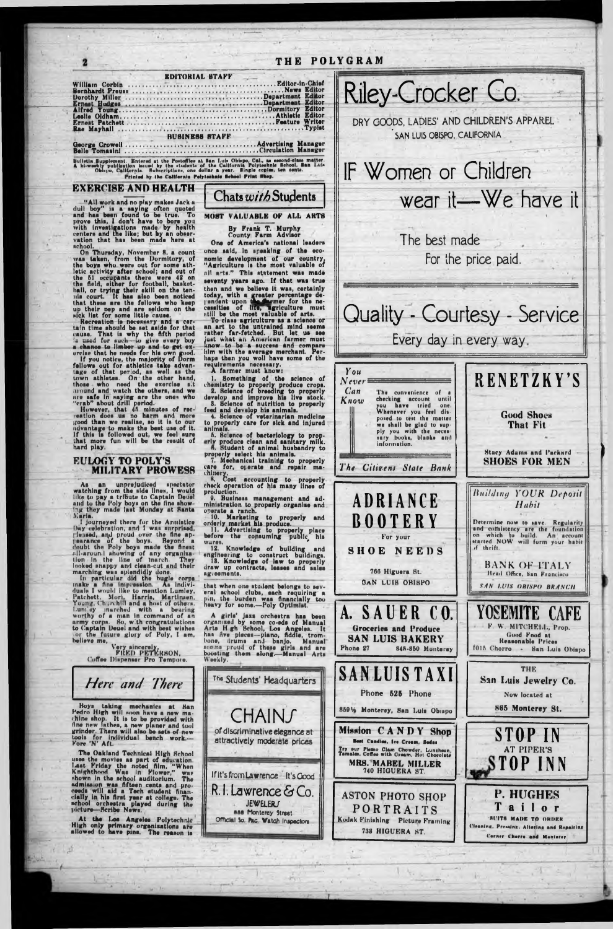

EXERCISE AND HEALTH "All work and no play makes Jack a<br>dull boy" is a saying often quoted<br>and has been found to be true. To<br>prove this, I don't have to bore you<br>with investigations made by health<br>centers and the like; but by an obser-<br>vation

William Corbin ...........<br>Bernhardt Preuss ........

Ernest Patchett......... Rae Mayhall .................

Dorothy Miller ...... Ernast Hodges<br>Alfred Young.......<br>Leslie Oldham.......

nchool. school.<br>
On Thursday, November 8, a count<br>
van taken, from the Dormitory, of<br>
the boys who were out for some ath-<br>
letic activity after school; and out of<br>
the 51 occupants there were 42 on<br>
the field, either for football,

un their nep and are seldom on the sick list for some little cause.<br>Recreation is necessary and a certain time should be set aside for that tain time should be set aside for that<br>cause. That is why the fifth period<br>is used for auch—to give every boy-<br>a chance to limber up and to get ex-<br>crise that he needs for his wn good.<br>If you notice, the majority of Dorm<br>f

ndvantage to make the best use of it.<br>If this is followed out, we feel sure that more fun will be the result of hard play.

#### **EULOGY TO POLY'S MILITARY PROWESS**

As an unprejudiced spectator<br>watching from the side lines, I would<br>like to pay a tribute to Captain Deuel<br>and to the Poly boys on the fine show-<br>ing they made last Monday at Santa<br>Maria.

I journeyed there for the Armistice Day celebration, and I was surprised,

In y celebration, and I was surprised,<br>
Jensed, and proud over the fine ap-<br>
pearance of the boys. Beyond a<br>
doubt the Poly boys made the finest<br>
clumbing of any organisation in the line of intert. They<br>
increase the inter believe me,

Very sincerely,<br>FRED PETERSON,<br>Coffee Dispenser Pro Tempore.

Bulletin Supplement. Entered at the Postoffice at San Luis Obispo, Cal., as second-class matter.<br>A bi-weekly publication issued by the students of the California Polytechnic School, San Luis<br>Oblapo, California. Subscriptio

Every day in every way.



**Corner Charre and Manterey** 

Here and There

Boys taking mechanics at San<br>Pedro High will soon have a new ma-<br>chine shop. It is to be provided with<br>fine new lathes, a new planer and tool<br>grinder. There will sho be sets of new<br>tools for individual bench work.—<br>Fore 'N

The Oakland Technical High School The Oakland Technical High School<br>Least the movies as part of education.<br>Last Friday the noted film, "When<br>Knighthood Was In Flower," was<br>shown in the school auditorium. The<br>admission was fifteen cents and pro-<br>ceeds will

At the Los Angeles Polytechnic<br>High only primary organizations are<br>allowed to have pins. The reason is

San Luis Jewelry Co. The Students' Headquarters Phone 525 Phone Now located at 865 Monterey St. 8591% Monterey, San Luis Obispo CHAINS Mission CANDY Shop of discriminative elegance at **STOP IN** attractively moderate prices Bost Candios, Ice Croam, Bodas **AT PIPER'S** Try our Plamo Clam Chowder, Luncheon,<br>Tamala, Coffee with Cream, Hot Chocolate STOP INN MRS. MABEL MILLER 740 HIGUERA ST. If it's from Lawrence It's Good R.I. Lawrence & Co. **P. HUGHES ASTON PHOTO SHOP JEWELERS** Tailor PORTRAITS ass Monterey Street **SUITS MADE TO ORDER** Official So. Pac. Watch Inspectors Kodak Finishing Picture Framing Cleaning, Pressink, Altering and Repairing 738 HIGUERA ST.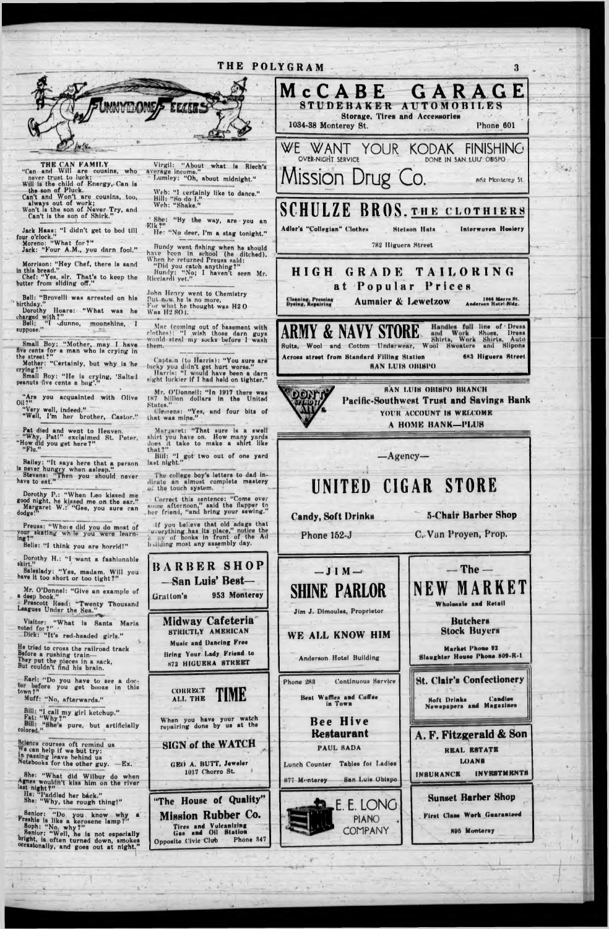# THE POLYGRAM



THE CAN FAMILY<br>"Can and Will are cousins, who

never trust to luck; Will is the child of Energy, Can is

the son of Pluck.<br>
Can't and Won't are cousins, too,<br>
always out of work;<br>
Won't is the son of Never Try, and<br>
Can't is the son of Never Try, and<br>
Can't is the son of Shirk."

Jack Haas: "I didn't get to bed till<br>four o'clock."<br>Moreno: "What for?"<br>Jack: "Four A.M., you darn fool."

Morrison: "Hey Chef, there is sand

in this bread."<br>
Chef: "Yes, sir. That's to keep the<br>
butter from sliding off."

Bell: "Brovelli was arrested on his birthday."

Dorothy Hoare: "What was he<br>charged with?"<br>Bell; "I dunno, moonshine, I

 $suppose."$ 

Small Boy: "Mother, may I have five cents for a man who is crying in<br>the street?"

Mother: "Certainly, but why is he

erying?"<br>Small Boy: "He is crying, 'Salted<br>peanuts five cents a bag"."

"Are you acquainted with Olive

"Very well, indeed."<br>"Well, I'm her brother, Castor."

Pat died and went to Heaven.<br>
"Why, Pat!" exclaimed St. Peter,<br>"How did you get here?" "Flu."

Bailey: "It says here that a person<br>is never hungry when asleep."<br>Stevens: "Then you should never<br>have to ent."

Dorothy P.: "When Leo kissed me<br>good night, he kissed me on the ear."<br>Margaret W.: "Gee, you sure can<br>dodge!"

Preuss: "Where did you do most of<br>your skating while you were learn-<br>ing?"

Belle: "I think you are horrid!"

have it too short or too tight?"

Virgil: "About what is Riech's average income."<br>- Lumley: "Oh, about midnight."

Web: "I certainly like to dance."<br>Bill: "So do I."<br>Web: "Shake."

"She: "By the way, are you an

He: "No deer, I'm a stag tonight."

Bundy went fishing when he should<br>have been in school (he ditched).<br>When he returned Preuss said:

"Did you catch anything?"<br>Bundy: "No; I haven't seen Mr.<br>Ricciardi yet."

John Henry went to Chemistry But now he is no more, For what he thought was H2O Was H2 SO1.

Mac (coming out of basement with<br>clothes): "I wish those darn guys<br>would steal my socks before I wash them.

Captain (to Harris): "You sure are<br>lucky you didn't get hurt worse."<br>Harris: "I would have been a darn<br>sight luckier if I had held on tighter."

Mr. O'Donnell: "In 1917 there was<br>187 billion dollars in the United States."

Clemens: "Yes, and four bits of<br>that was mine."

Margaret: "That sure is a swell shirt you have on. How many yards does it take to make a shirt like that?" Bill: "I got two out of one yard

The college boy's letters to dad in-<br>dicate an almost complete mastery of the touch system.

Correct this sentence: "Come over nome afternoon," said the flapper to her friend, "and bring your sewing."

If you believe that old adage that<br>'everything has its place," notice the<br>uy of books in front of the Ad b silding most any assembly day.